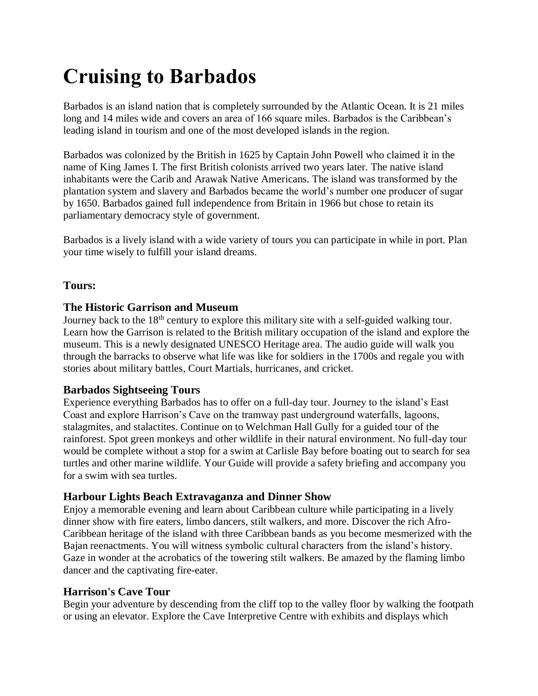# **Cruising to Barbados**

Barbados is an island nation that is completely surrounded by the Atlantic Ocean. It is 21 miles long and 14 miles wide and covers an area of 166 square miles. Barbados is the Caribbean's leading island in tourism and one of the most developed islands in the region.

Barbados was colonized by the British in 1625 by Captain John Powell who claimed it in the name of King James I. The first British colonists arrived two years later. The native island inhabitants were the Carib and Arawak Native Americans. The island was transformed by the plantation system and slavery and Barbados became the world's number one producer of sugar by 1650. Barbados gained full independence from Britain in 1966 but chose to retain its parliamentary democracy style of government.

Barbados is a lively island with a wide variety of tours you can participate in while in port. Plan your time wisely to fulfill your island dreams.

### **Tours:**

### **The Historic Garrison and Museum**

Journey back to the 18<sup>th</sup> century to explore this military site with a self-guided walking tour. Learn how the Garrison is related to the British military occupation of the island and explore the museum. This is a newly designated UNESCO Heritage area. The audio guide will walk you through the barracks to observe what life was like for soldiers in the 1700s and regale you with stories about military battles, Court Martials, hurricanes, and cricket.

#### **Barbados Sightseeing Tours**

Experience everything Barbados has to offer on a full-day tour. Journey to the island's East Coast and explore Harrison's Cave on the tramway past underground waterfalls, lagoons, stalagmites, and stalactites. Continue on to Welchman Hall Gully for a guided tour of the rainforest. Spot green monkeys and other wildlife in their natural environment. No full-day tour would be complete without a stop for a swim at Carlisle Bay before boating out to search for sea turtles and other marine wildlife. Your Guide will provide a safety briefing and accompany you for a swim with sea turtles.

# **Harbour Lights Beach Extravaganza and Dinner Show**

Enjoy a memorable evening and learn about Caribbean culture while participating in a lively dinner show with fire eaters, limbo dancers, stilt walkers, and more. Discover the rich Afro-Caribbean heritage of the island with three Caribbean bands as you become mesmerized with the Bajan reenactments. You will witness symbolic cultural characters from the island's history. Gaze in wonder at the acrobatics of the towering stilt walkers. Be amazed by the flaming limbo dancer and the captivating fire-eater.

#### **Harrison's Cave Tour**

Begin your adventure by descending from the cliff top to the valley floor by walking the footpath or using an elevator. Explore the Cave Interpretive Centre with exhibits and displays which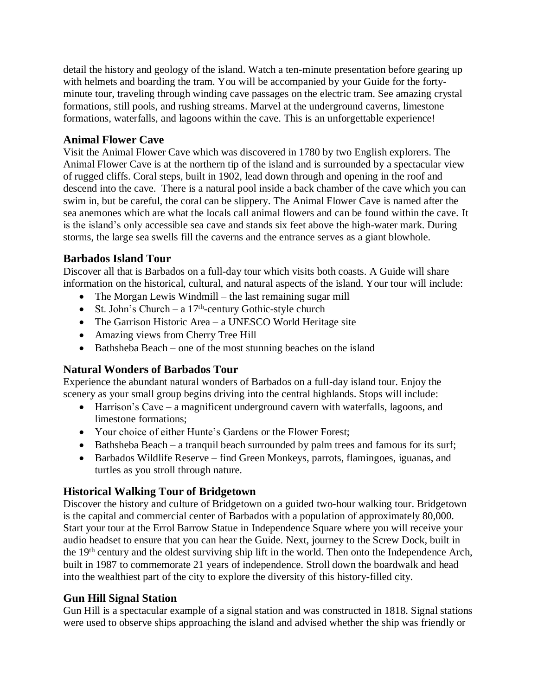detail the history and geology of the island. Watch a ten-minute presentation before gearing up with helmets and boarding the tram. You will be accompanied by your Guide for the fortyminute tour, traveling through winding cave passages on the electric tram. See amazing crystal formations, still pools, and rushing streams. Marvel at the underground caverns, limestone formations, waterfalls, and lagoons within the cave. This is an unforgettable experience[!](https://www.viator.com/tours/Barbados/Animal-Flower-Cave-Shore-Excursion/d30-29386P10)

## **[Animal Flower Cave](https://www.viator.com/tours/Barbados/Animal-Flower-Cave-Shore-Excursion/d30-29386P10)**

Visit the Animal Flower Cave which was discovered in 1780 by two English explorers. The Animal Flower Cave is at the northern tip of the island and is surrounded by a spectacular view of rugged cliffs. Coral steps, built in 1902, lead down through and opening in the roof and descend into the cave. There is a natural pool inside a back chamber of the cave which you can swim in, but be careful, the coral can be slippery. The Animal Flower Cave is named after the sea anemones which are what the locals call animal flowers and can be found within the cave. It is the island's only accessible sea cave and stands six feet above the high-water mark. During storms, the large sea swells fill the caverns and the entrance serves as a giant blowhole.

# **Barbados Island Tour**

Discover all that is Barbados on a full-day tour which visits both coasts. A Guide will share information on the historical, cultural, and natural aspects of the island. Your tour will include:

- The Morgan Lewis Windmill the last remaining sugar mill
- St. John's Church a  $17<sup>th</sup>$ -century Gothic-style church
- The Garrison Historic Area a UNESCO World Heritage site
- Amazing views from Cherry Tree Hill
- Bathsheba Beach one of the most stunning beaches on the island

# **Natural Wonders of Barbados Tour**

Experience the abundant natural wonders of Barbados on a full-day island tour. Enjoy the scenery as your small group begins driving into the central highlands. Stops will include:

- Harrison's Cave a magnificent underground cavern with waterfalls, lagoons, and limestone formations;
- Your choice of either Hunte's Gardens or the Flower Forest;
- Bathsheba Beach a tranquil beach surrounded by palm trees and famous for its surf;
- Barbados Wildlife Reserve find Green Monkeys, parrots, flamingoes, iguanas, and turtles as you stroll through nature.

# **Historical Walking Tour of Bridgetown**

Discover the history and culture of Bridgetown on a guided two-hour walking tour. Bridgetown is the capital and commercial center of Barbados with a population of approximately 80,000. Start your tour at the Errol Barrow Statue in Independence Square where you will receive your audio headset to ensure that you can hear the Guide. Next, journey to the Screw Dock, built in the 19th century and the oldest surviving ship lift in the world. Then onto the Independence Arch, built in 1987 to commemorate 21 years of independence. Stroll down the boardwalk and head into the wealthiest part of the city to explore the diversity of this history-filled city.

# **Gun Hill Signal Station**

Gun Hill is a spectacular example of a signal station and was constructed in 1818. Signal stations were used to observe ships approaching the island and advised whether the ship was friendly or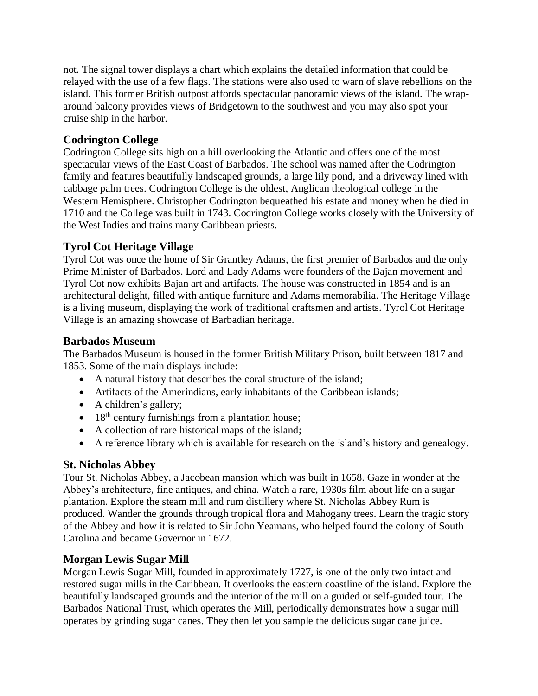not. The signal tower displays a chart which explains the detailed information that could be relayed with the use of a few flags. The stations were also used to warn of slave rebellions on the island. This former British outpost affords spectacular panoramic views of the island. The wraparound balcony provides views of Bridgetown to the southwest and you may also spot your cruise ship in the harbor.

## **Codrington College**

Codrington College sits high on a hill overlooking the Atlantic and offers one of the most spectacular views of the East Coast of Barbados. The school was named after the Codrington family and features beautifully landscaped grounds, a large lily pond, and a driveway lined with cabbage palm trees. Codrington College is the oldest, Anglican theological college in the Western Hemisphere. Christopher Codrington bequeathed his estate and money when he died in 1710 and the College was built in 1743. Codrington College works closely with the University of the West Indies and trains many Caribbean priests.

#### **Tyrol Cot Heritage Village**

Tyrol Cot was once the home of Sir Grantley Adams, the first premier of Barbados and the only Prime Minister of Barbados. Lord and Lady Adams were founders of the Bajan movement and Tyrol Cot now exhibits Bajan art and artifacts. The house was constructed in 1854 and is an architectural delight, filled with antique furniture and Adams memorabilia. The Heritage Village is a living museum, displaying the work of traditional craftsmen and artists. Tyrol Cot Heritage Village is an amazing showcase of Barbadian heritage.

### **Barbados Museum**

The Barbados Museum is housed in the former British Military Prison, built between 1817 and 1853. Some of the main displays include:

- A natural history that describes the coral structure of the island;
- Artifacts of the Amerindians, early inhabitants of the Caribbean islands;
- A children's gallery;
- $\bullet$  18<sup>th</sup> century furnishings from a plantation house;
- A collection of rare historical maps of the island;
- A reference library which is available for research on the island's history and genealogy.

# **St. Nicholas Abbey**

Tour St. Nicholas Abbey, a Jacobean mansion which was built in 1658. Gaze in wonder at the Abbey's architecture, fine antiques, and china. Watch a rare, 1930s film about life on a sugar plantation. Explore the steam mill and rum distillery where St. Nicholas Abbey Rum is produced. Wander the grounds through tropical flora and Mahogany trees. Learn the tragic story of the Abbey and how it is related to Sir John Yeamans, who helped found the colony of South Carolina and became Governor in 1672.

# **Morgan Lewis Sugar Mill**

Morgan Lewis Sugar Mill, founded in approximately 1727, is one of the only two intact and restored sugar mills in the Caribbean. It overlooks the eastern coastline of the island. Explore the beautifully landscaped grounds and the interior of the mill on a guided or self-guided tour. The Barbados National Trust, which operates the Mill, periodically demonstrates how a sugar mill operates by grinding sugar canes. They then let you sample the delicious sugar cane juice.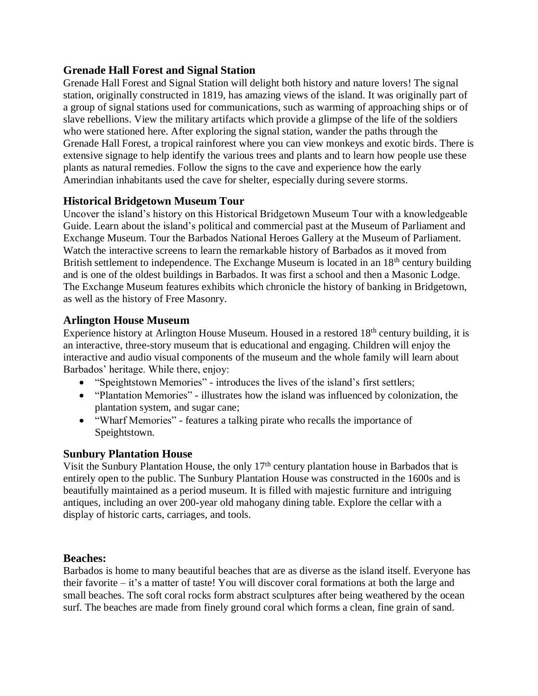### **Grenade Hall Forest and Signal Station**

Grenade Hall Forest and Signal Station will delight both history and nature lovers! The signal station, originally constructed in 1819, has amazing views of the island. It was originally part of a group of signal stations used for communications, such as warming of approaching ships or of slave rebellions. View the military artifacts which provide a glimpse of the life of the soldiers who were stationed here. After exploring the signal station, wander the paths through the Grenade Hall Forest, a tropical rainforest where you can view monkeys and exotic birds. There is extensive signage to help identify the various trees and plants and to learn how people use these plants as natural remedies. Follow the signs to the cave and experience how the early Amerindian inhabitants used the cave for shelter, especially during severe storms[.](https://www.viator.com/tours/Barbados/Historical-Bridgetown-Museum-Tour/d30-29386P7)

# **[Historical Bridgetown Museum Tour](https://www.viator.com/tours/Barbados/Historical-Bridgetown-Museum-Tour/d30-29386P7)**

Uncover the island's history on this Historical Bridgetown Museum Tour with a knowledgeable Guide. Learn about the island's political and commercial past at the Museum of Parliament and Exchange Museum. Tour the Barbados National Heroes Gallery at the Museum of Parliament. Watch the interactive screens to learn the remarkable history of Barbados as it moved from British settlement to independence. The Exchange Museum is located in an 18<sup>th</sup> century building and is one of the oldest buildings in Barbados. It was first a school and then a Masonic Lodge. The Exchange Museum features exhibits which chronicle the history of banking in Bridgetown, as well as the history of Free Masonry.

#### **Arlington House Museum**

Experience history at Arlington House Museum. Housed in a restored 18<sup>th</sup> century building, it is an interactive, three-story museum that is educational and engaging. Children will enjoy the interactive and audio visual components of the museum and the whole family will learn about Barbados' heritage. While there, enjoy:

- "Speightstown Memories" introduces the lives of the island's first settlers;
- "Plantation Memories" illustrates how the island was influenced by colonization, the plantation system, and sugar cane;
- "Wharf Memories" features a talking pirate who recalls the importance of Speightstown.

#### **Sunbury Plantation House**

Visit the Sunbury Plantation House, the only 17th century plantation house in Barbados that is entirely open to the public. The Sunbury Plantation House was constructed in the 1600s and is beautifully maintained as a period museum. It is filled with majestic furniture and intriguing antiques, including an over 200-year old mahogany dining table. Explore the cellar with a display of historic carts, carriages, and tools.

#### **Beaches:**

Barbados is home to many beautiful beaches that are as diverse as the island itself. Everyone has their favorite – it's a matter of taste! You will discover coral formations at both the large and small beaches. The soft coral rocks form abstract sculptures after being weathered by the ocean surf. The beaches are made from finely ground coral which forms a clean, fine grain of sand.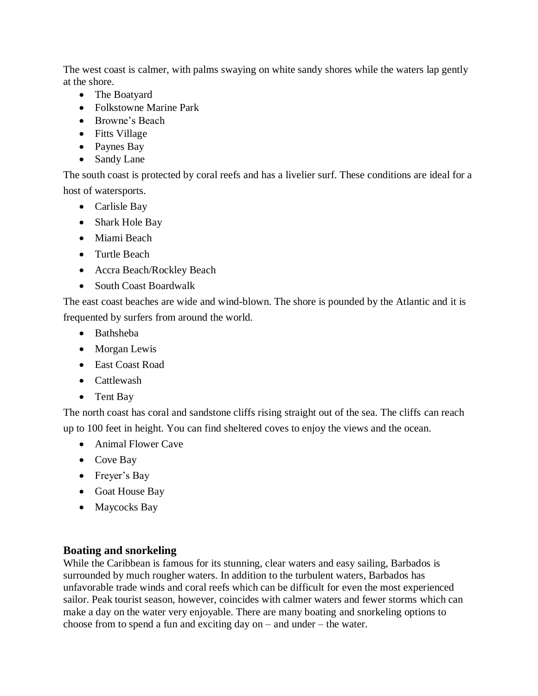The west coast is calmer, with palms swaying on white sandy shores while the waters lap gently at the shore.

- The Boatyard
- Folkstowne Marine Park
- Browne's Beach
- Fitts Village
- Paynes Bay
- Sandy Lane

The south coast is protected by coral reefs and has a livelier surf. These conditions are ideal for a host of watersports.

- Carlisle Bay
- Shark Hole Bay
- Miami Beach
- Turtle Beach
- Accra Beach/Rockley Beach
- South Coast Boardwalk

The east coast beaches are wide and wind-blown. The shore is pounded by the Atlantic and it is frequented by surfers from around the world.

- Bathsheba
- Morgan Lewis
- East Coast Road
- Cattlewash
- Tent Bay

The north coast has coral and sandstone cliffs rising straight out of the sea. The cliffs can reach up to 100 feet in height. You can find sheltered coves to enjoy the views and the ocean.

- Animal Flower Cave
- Cove Bay
- Freyer's Bay
- Goat House Bay
- Maycocks Bay

#### **Boating and snorkeling**

While the Caribbean is famous for its stunning, clear waters and easy sailing, Barbados is surrounded by much rougher waters. In addition to the turbulent waters, Barbados has unfavorable trade winds and coral reefs which can be difficult for even the most experienced sailor. Peak tourist season, however, coincides with calmer waters and fewer storms which can make a day on the water very enjoyable. There are many boating and snorkeling options to choose from to spend a fun and exciting day on – and under – the water.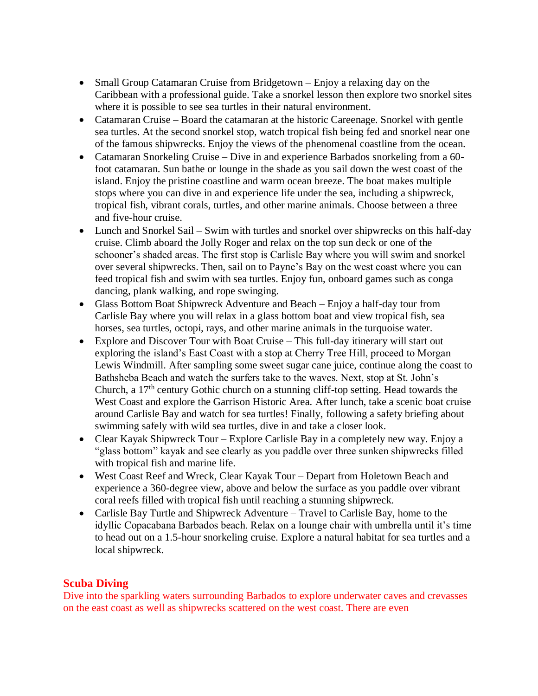- Small Group Catamaran Cruise from Bridgetown Enjoy a relaxing day on the Caribbean with a professional guide. Take a snorkel lesson then explore two snorkel sites where it is possible to see sea turtles in their natural environment.
- Catamaran Cruise Board the catamaran at the historic Careenage. Snorkel with gentle sea turtles. At the second snorkel stop, watch tropical fish being fed and snorkel near one of the famous shipwrecks. Enjoy the views of the phenomenal coastline from the ocean.
- Catamaran Snorkeling Cruise Dive in and experience Barbados snorkeling from a 60foot catamaran. Sun bathe or lounge in the shade as you sail down the west coast of the island. Enjoy the pristine coastline and warm ocean breeze. The boat makes multiple stops where you can dive in and experience life under the sea, including a shipwreck, tropical fish, vibrant corals, turtles, and other marine animals. Choose between a three and five-hour cruise.
- Lunch and Snorkel Sail Swim with turtles and snorkel over shipwrecks on this half-day cruise. Climb aboard the Jolly Roger and relax on the top sun deck or one of the schooner's shaded areas. The first stop is Carlisle Bay where you will swim and snorkel over several shipwrecks. Then, sail on to Payne's Bay on the west coast where you can feed tropical fish and swim with sea turtles. Enjoy fun, onboard games such as conga dancing, plank walking, and rope swinging.
- Glass Bottom Boat Shipwreck Adventure and Beach Enjoy a half-day tour from Carlisle Bay where you will relax in a glass bottom boat and view tropical fish, sea horses, sea turtles, octopi, rays, and other marine animals in the turquoise water.
- Explore and Discover Tour with Boat Cruise This full-day itinerary will start out exploring the island's East Coast with a stop at Cherry Tree Hill, proceed to Morgan Lewis Windmill. After sampling some sweet sugar cane juice, continue along the coast to Bathsheba Beach and watch the surfers take to the waves. Next, stop at St. John's Church, a 17th century Gothic church on a stunning cliff-top setting. Head towards the West Coast and explore the Garrison Historic Area. After lunch, take a scenic boat cruise around Carlisle Bay and watch for sea turtles! Finally, following a safety briefing about swimming safely with wild sea turtles, dive in and take a closer look.
- Clear Kayak Shipwreck Tour Explore Carlisle Bay in a completely new way. Enjoy a "glass bottom" kayak and see clearly as you paddle over three sunken shipwrecks filled with tropical fish and marine life.
- West Coast Reef and Wreck, Clear Kayak Tour Depart from Holetown Beach and experience a 360-degree view, above and below the surface as you paddle over vibrant coral reefs filled with tropical fish until reaching a stunning shipwreck.
- Carlisle Bay Turtle and Shipwreck Adventure Travel to Carlisle Bay, home to the idyllic Copacabana Barbados beach. Relax on a lounge chair with umbrella until it's time to head out on a 1.5-hour snorkeling cruise. Explore a natural habitat for sea turtles and a local shipwreck.

# **Scuba Diving**

Dive into the sparkling waters surrounding Barbados to explore underwater caves and crevasses on the east coast as well as shipwrecks scattered on the west coast. There are even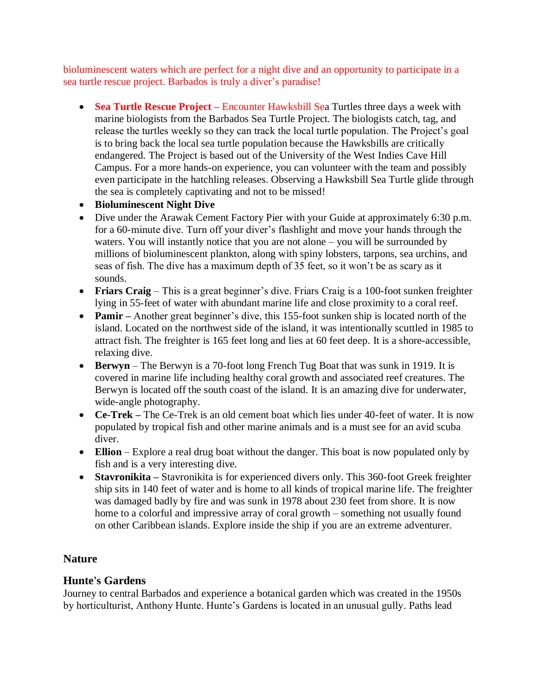bioluminescent waters which are perfect for a night dive and an opportunity to participate in a sea turtle rescue project. Barbados is truly a diver's paradise!

- **Sea Turtle Rescue Project –** Encounter Hawksbill Sea Turtles three days a week with marine biologists from the Barbados Sea Turtle Project. The biologists catch, tag, and release the turtles weekly so they can track the local turtle population. The Project's goal is to bring back the local sea turtle population because the Hawksbills are critically endangered. The Project is based out of the University of the West Indies Cave Hill Campus. For a more hands-on experience, you can volunteer with the team and possibly even participate in the hatchling releases. Observing a Hawksbill Sea Turtle glide through the sea is completely captivating and not to be missed!
- **Bioluminescent Night Dive**
- Dive under the Arawak Cement Factory Pier with your Guide at approximately 6:30 p.m. for a 60-minute dive. Turn off your diver's flashlight and move your hands through the waters. You will instantly notice that you are not alone – you will be surrounded by millions of bioluminescent plankton, along with spiny lobsters, tarpons, sea urchins, and seas of fish. The dive has a maximum depth of 35 feet, so it won't be as scary as it sounds.
- **Friars Craig** This is a great beginner's dive. Friars Craig is a 100-foot sunken freighter lying in 55-feet of water with abundant marine life and close proximity to a coral reef.
- **Pamir** Another great beginner's dive, this 155-foot sunken ship is located north of the island. Located on the northwest side of the island, it was intentionally scuttled in 1985 to attract fish. The freighter is 165 feet long and lies at 60 feet deep. It is a shore-accessible, relaxing dive.
- **Berwyn** The Berwyn is a 70-foot long French Tug Boat that was sunk in 1919. It is covered in marine life including healthy coral growth and associated reef creatures. The Berwyn is located off the south coast of the island. It is an amazing dive for underwater, wide-angle photography.
- **Ce-Trek –** The Ce-Trek is an old cement boat which lies under 40-feet of water. It is now populated by tropical fish and other marine animals and is a must see for an avid scuba diver.
- **Ellion** Explore a real drug boat without the danger. This boat is now populated only by fish and is a very interesting dive.
- **Stavronikita –** Stavronikita is for experienced divers only. This 360-foot Greek freighter ship sits in 140 feet of water and is home to all kinds of tropical marine life. The freighter was damaged badly by fire and was sunk in 1978 about 230 feet from shore. It is now home to a colorful and impressive array of coral growth – something not usually found on other Caribbean islands. Explore inside the ship if you are an extreme adventurer.

#### **Nature**

#### **Hunte's Gardens**

Journey to central Barbados and experience a botanical garden which was created in the 1950s by horticulturist, Anthony Hunte. Hunte's Gardens is located in an unusual gully. Paths lead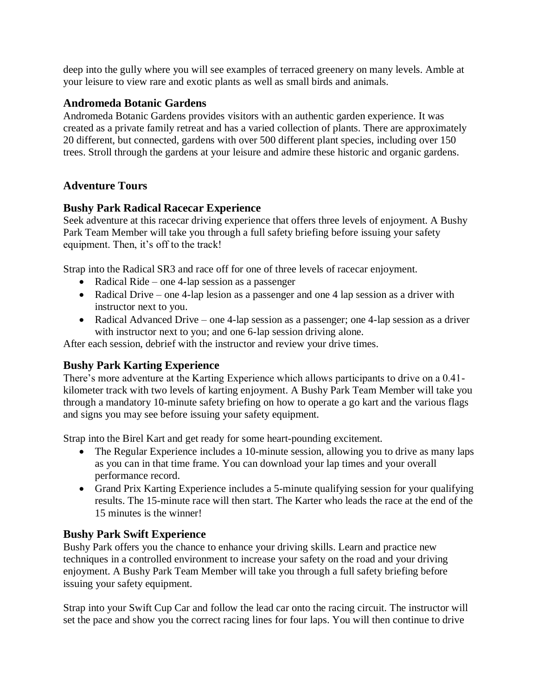deep into the gully where you will see examples of terraced greenery on many levels. Amble at your leisure to view rare and exotic plants as well as small birds and animals.

#### **Andromeda Botanic Gardens**

Andromeda Botanic Gardens provides visitors with an authentic garden experience. It was created as a private family retreat and has a varied collection of plants. There are approximately 20 different, but connected, gardens with over 500 different plant species, including over 150 trees. Stroll through the gardens at your leisure and admire these historic and organic gardens.

# **Adventure Tours**

# **Bushy Park Radical Racecar Experience**

Seek adventure at this racecar driving experience that offers three levels of enjoyment. A Bushy Park Team Member will take you through a full safety briefing before issuing your safety equipment. Then, it's off to the track!

Strap into the Radical SR3 and race off for one of three levels of racecar enjoyment.

- Radical Ride one 4-lap session as a passenger
- Radical Drive one 4-lap lesion as a passenger and one 4 lap session as a driver with instructor next to you.
- Radical Advanced Drive one 4-lap session as a passenger; one 4-lap session as a driver with instructor next to you; and one 6-lap session driving alone.

After each session, debrief with the instructor and review your drive times.

# **Bushy Park Karting Experience**

There's more adventure at the Karting Experience which allows participants to drive on a 0.41 kilometer track with two levels of karting enjoyment. A Bushy Park Team Member will take you through a mandatory 10-minute safety briefing on how to operate a go kart and the various flags and signs you may see before issuing your safety equipment.

Strap into the Birel Kart and get ready for some heart-pounding excitement.

- The Regular Experience includes a 10-minute session, allowing you to drive as many laps as you can in that time frame. You can download your lap times and your overall performance record.
- Grand Prix Karting Experience includes a 5-minute qualifying session for your qualifying results. The 15-minute race will then start. The Karter who leads the race at the end of the 15 minutes is the winner!

# **Bushy Park Swift Experience**

Bushy Park offers you the chance to enhance your driving skills. Learn and practice new techniques in a controlled environment to increase your safety on the road and your driving enjoyment. A Bushy Park Team Member will take you through a full safety briefing before issuing your safety equipment.

Strap into your Swift Cup Car and follow the lead car onto the racing circuit. The instructor will set the pace and show you the correct racing lines for four laps. You will then continue to drive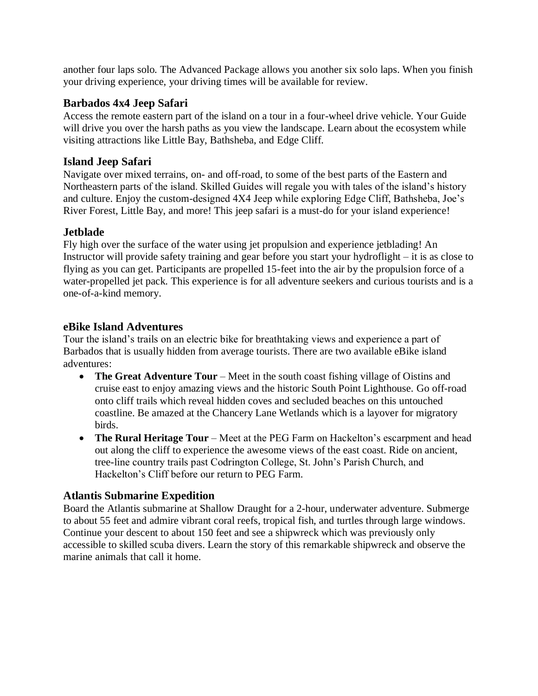another four laps solo. The Advanced Package allows you another six solo laps. When you finish your driving experience, your driving times will be available for review.

# **Barbados 4x4 Jeep Safari**

Access the remote eastern part of the island on a tour in a four-wheel drive vehicle. Your Guide will drive you over the harsh paths as you view the landscape. Learn about the ecosystem while visiting attractions like Little Bay, Bathsheba, and Edge Cliff.

## **Island Jeep Safari**

Navigate over mixed terrains, on- and off-road, to some of the best parts of the Eastern and Northeastern parts of the island. Skilled Guides will regale you with tales of the island's history and culture. Enjoy the custom-designed 4X4 Jeep while exploring Edge Cliff, Bathsheba, Joe's River Forest, Little Bay, and more! This jeep safari is a must-do for your island experience!

### **Jetblade**

Fly high over the surface of the water using jet propulsion and experience jetblading! An Instructor will provide safety training and gear before you start your hydroflight – it is as close to flying as you can get. Participants are propelled 15-feet into the air by the propulsion force of a water-propelled jet pack. This experience is for all adventure seekers and curious tourists and is a one-of-a-kind memory.

### **eBike Island Adventures**

Tour the island's trails on an electric bike for breathtaking views and experience a part of Barbados that is usually hidden from average tourists. There are two available eBike island adventures:

- **The Great Adventure Tour** Meet in the south coast fishing village of Oistins and cruise east to enjoy amazing views and the historic South Point Lighthouse. Go off-road onto cliff trails which reveal hidden coves and secluded beaches on this untouched coastline. Be amazed at the Chancery Lane Wetlands which is a layover for migratory birds.
- **The Rural Heritage Tour** Meet at the PEG Farm on Hackelton's escarpment and head out along the cliff to experience the awesome views of the east coast. Ride on ancient, tree-line country trails past Codrington College, St. John's Parish Church, and Hackelton's Cliff before our return to PEG Farm.

# **[Atlantis Submarine Expedition](https://www.viator.com/tours/Barbados/Barbados-Shore-Excursion-Atlantis-Submarine-Expedition/d30-2134PRTBGISUB)**

Board the Atlantis submarine at Shallow Draught for a 2-hour, underwater adventure. Submerge to about 55 feet and admire vibrant coral reefs, tropical fish, and turtles through large windows. Continue your descent to about 150 feet and see a shipwreck which was previously only accessible to skilled scuba divers. Learn the story of this remarkable shipwreck and observe the marine animals that call it home.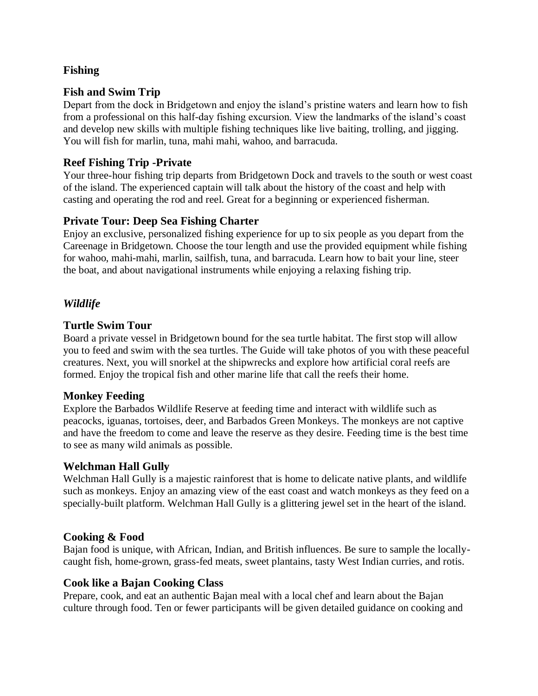# **Fishing**

# **Fish and Swim Trip**

Depart from the dock in Bridgetown and enjoy the island's pristine waters and learn how to fish from a professional on this half-day fishing excursion. View the landmarks of the island's coast and develop new skills with multiple fishing techniques like live baiting, trolling, and jigging. You will fish for marlin, tuna, mahi mahi, wahoo, and barracuda.

### **Reef Fishing Trip -Private**

Your three-hour fishing trip departs from Bridgetown Dock and travels to the south or west coast of the island. The experienced captain will talk about the history of the coast and help with casting and operating the rod and reel. Great for a beginning or experienced fisherman.

### **Private Tour: Deep Sea Fishing Charter**

Enjoy an exclusive, personalized fishing experience for up to six people as you depart from the Careenage in Bridgetown. Choose the tour length and use the provided equipment while fishing for wahoo, mahi-mahi, marlin, sailfish, tuna, and barracuda. Learn how to bait your line, steer the boat, and about navigational instruments while enjoying a relaxing fishing trip.

### *Wildlife*

### **[Turtle Swim Tour](https://www.viator.com/tours/Barbados/Barbados-Private-Turtle-Swim-Tour/d30-11532P7)**

Board a private vessel in Bridgetown bound for the sea turtle habitat. The first stop will allow you to feed and swim with the sea turtles. The Guide will take photos of you with these peaceful creatures. Next, you will snorkel at the shipwrecks and explore how artificial coral reefs are formed. Enjoy the tropical fish and other marine life that call the reefs their home.

#### **Monkey Feeding**

Explore the Barbados Wildlife Reserve at feeding time and interact with wildlife such as peacocks, iguanas, tortoises, deer, and Barbados Green Monkeys. The monkeys are not captive and have the freedom to come and leave the reserve as they desire. Feeding time is the best time to see as many wild animals as possible.

#### **Welchman Hall Gully**

Welchman Hall Gully is a majestic rainforest that is home to delicate native plants, and wildlife such as monkeys. Enjoy an amazing view of the east coast and watch monkeys as they feed on a specially-built platform. Welchman Hall Gully is a glittering jewel set in the heart of the island.

#### **Cooking & Food**

Bajan food is unique, with African, Indian, and British influences. Be sure to sample the locallycaught fish, home-grown, grass-fed meats, sweet plantains, tasty West Indian curries, and rotis.

#### **Cook like a Bajan Cooking Class**

Prepare, cook, and eat an authentic Bajan meal with a local chef and learn about the Bajan culture through food. Ten or fewer participants will be given detailed guidance on cooking and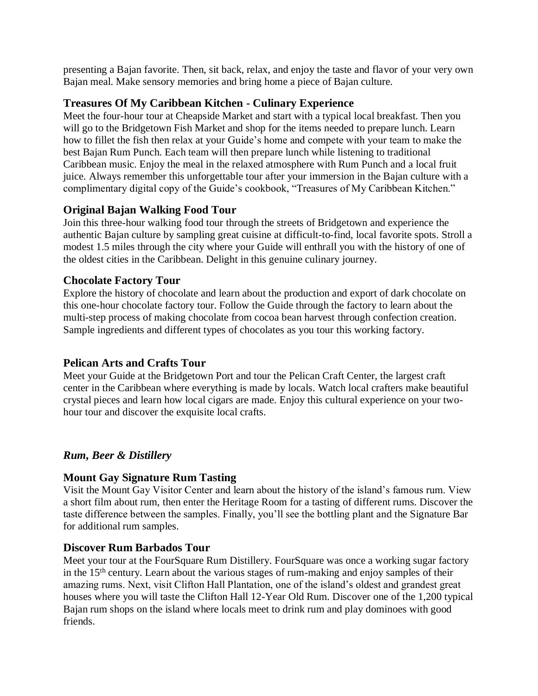presenting a Bajan favorite. Then, sit back, relax, and enjoy the taste and flavor of your very own Bajan meal. Make sensory memories and bring home a piece of Bajan culture[.](https://www.viator.com/tours/Barbados/Treasures-Of-My-Caribbean-Kitchen-Culinary-Experience/d30-114837P1)

### **[Treasures Of My Caribbean Kitchen -](https://www.viator.com/tours/Barbados/Treasures-Of-My-Caribbean-Kitchen-Culinary-Experience/d30-114837P1) Culinary Experience**

Meet the four-hour tour at Cheapside Market and start with a typical local breakfast. Then you will go to the Bridgetown Fish Market and shop for the items needed to prepare lunch. Learn how to fillet the fish then relax at your Guide's home and compete with your team to make the best Bajan Rum Punch. Each team will then prepare lunch while listening to traditional Caribbean music. Enjoy the meal in the relaxed atmosphere with Rum Punch and a local fruit juice. Always remember this unforgettable tour after your immersion in the Bajan culture with a complimentary digital copy of the Guide's cookbook, "Treasures of My Caribbean Kitchen."

# **Original Bajan Walking Food Tour**

Join this three-hour walking food tour through the streets of Bridgetown and experience the authentic Bajan culture by sampling great cuisine at difficult-to-find, local favorite spots. Stroll a modest 1.5 miles through the city where your Guide will enthrall you with the history of one of the oldest cities in the Caribbean. Delight in this genuine culinary journey.

# **Chocolate Factory Tour**

Explore the history of chocolate and learn about the production and export of dark chocolate on this one-hour chocolate factory tour. Follow the Guide through the factory to learn about the multi-step process of making chocolate from cocoa bean harvest through confection creation. [Sample ingredients and different types of chocolates as you tour this working factory.](https://www.viator.com/tours/Barbados/Pelican-Arts-and-Crafts-Tour/d30-29386P4) 

# **[Pelican Arts and Crafts Tour](https://www.viator.com/tours/Barbados/Pelican-Arts-and-Crafts-Tour/d30-29386P4)**

Meet your Guide at the Bridgetown Port and tour the Pelican Craft Center, the largest craft center in the Caribbean where everything is made by locals. Watch local crafters make beautiful crystal pieces and learn how local cigars are made. Enjoy this cultural experience on your twohour tour and discover the exquisite local crafts.

# *Rum, Beer & Distillery*

# **Mount Gay Signature Rum Tasting**

Visit the Mount Gay Visitor Center and learn about the history of the island's famous rum. View a short film about rum, then enter the Heritage Room for a tasting of different rums. Discover the taste difference between the samples. Finally, you'll see the bottling plant and the Signature Bar for additional rum samples[.](https://www.viator.com/tours/Barbados/Discover-Rum-Barbados-Tour/d30-23885P4)

# **[Discover Rum Barbados Tour](https://www.viator.com/tours/Barbados/Discover-Rum-Barbados-Tour/d30-23885P4)**

Meet your tour at the FourSquare Rum Distillery. FourSquare was once a working sugar factory in the 15th century. Learn about the various stages of rum-making and enjoy samples of their amazing rums. Next, visit Clifton Hall Plantation, one of the island's oldest and grandest great houses where you will taste the Clifton Hall 12-Year Old Rum. Discover one of the 1,200 typical Bajan rum shops on the island where locals meet to drink rum and play dominoes with good friends.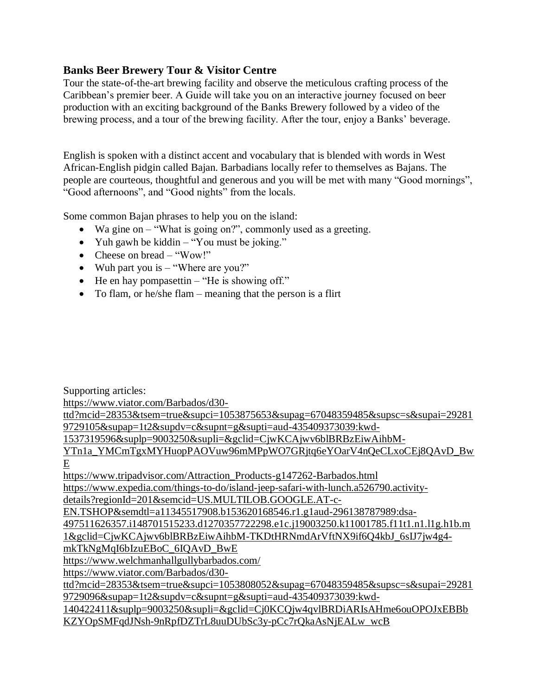# **Banks Beer Brewery Tour & Visitor Centre**

Tour the state-of-the-art brewing facility and observe the meticulous crafting process of the Caribbean's premier beer. A Guide will take you on an interactive journey focused on beer production with an exciting background of the Banks Brewery followed by a video of the brewing process, and a tour of the brewing facility. After the tour, enjoy a Banks' beverage.

English is spoken with a distinct accent and vocabulary that is blended with words in West African-English pidgin called Bajan. Barbadians locally refer to themselves as Bajans. The people are courteous, thoughtful and generous and you will be met with many "Good mornings", "Good afternoons", and "Good nights" from the locals.

Some common Bajan phrases to help you on the island:

- Wa gine on "What is going on?", commonly used as a greeting.
- Yuh gawh be kiddin "You must be joking."
- Cheese on bread "Wow!"
- Wuh part you is "Where are you?"
- He en hay pompasettin "He is showing off."
- To flam, or he/she flam meaning that the person is a flirt

Supporting articles:

[https://www.viator.com/Barbados/d30-](https://www.viator.com/Barbados/d30-ttd?mcid=28353&tsem=true&supci=1053875653&supag=67048359485&supsc=s&supai=292819729105&supap=1t2&supdv=c&supnt=g&supti=aud-435409373039:kwd-1537319596&suplp=9003250&supli=&gclid=CjwKCAjwv6blBRBzEiwAihbM-YTn1a_YMCmTgxMYHuopPAOVuw96mMPpWO7GRjtq6eYOarV4nQeCLxoCEj8QAvD_BwE)

[ttd?mcid=28353&tsem=true&supci=1053875653&supag=67048359485&supsc=s&supai=29281](https://www.viator.com/Barbados/d30-ttd?mcid=28353&tsem=true&supci=1053875653&supag=67048359485&supsc=s&supai=292819729105&supap=1t2&supdv=c&supnt=g&supti=aud-435409373039:kwd-1537319596&suplp=9003250&supli=&gclid=CjwKCAjwv6blBRBzEiwAihbM-YTn1a_YMCmTgxMYHuopPAOVuw96mMPpWO7GRjtq6eYOarV4nQeCLxoCEj8QAvD_BwE) [9729105&supap=1t2&supdv=c&supnt=g&supti=aud-435409373039:kwd-](https://www.viator.com/Barbados/d30-ttd?mcid=28353&tsem=true&supci=1053875653&supag=67048359485&supsc=s&supai=292819729105&supap=1t2&supdv=c&supnt=g&supti=aud-435409373039:kwd-1537319596&suplp=9003250&supli=&gclid=CjwKCAjwv6blBRBzEiwAihbM-YTn1a_YMCmTgxMYHuopPAOVuw96mMPpWO7GRjtq6eYOarV4nQeCLxoCEj8QAvD_BwE)

[1537319596&suplp=9003250&supli=&gclid=CjwKCAjwv6blBRBzEiwAihbM-](https://www.viator.com/Barbados/d30-ttd?mcid=28353&tsem=true&supci=1053875653&supag=67048359485&supsc=s&supai=292819729105&supap=1t2&supdv=c&supnt=g&supti=aud-435409373039:kwd-1537319596&suplp=9003250&supli=&gclid=CjwKCAjwv6blBRBzEiwAihbM-YTn1a_YMCmTgxMYHuopPAOVuw96mMPpWO7GRjtq6eYOarV4nQeCLxoCEj8QAvD_BwE)

[YTn1a\\_YMCmTgxMYHuopPAOVuw96mMPpWO7GRjtq6eYOarV4nQeCLxoCEj8QAvD\\_Bw](https://www.viator.com/Barbados/d30-ttd?mcid=28353&tsem=true&supci=1053875653&supag=67048359485&supsc=s&supai=292819729105&supap=1t2&supdv=c&supnt=g&supti=aud-435409373039:kwd-1537319596&suplp=9003250&supli=&gclid=CjwKCAjwv6blBRBzEiwAihbM-YTn1a_YMCmTgxMYHuopPAOVuw96mMPpWO7GRjtq6eYOarV4nQeCLxoCEj8QAvD_BwE) [E](https://www.viator.com/Barbados/d30-ttd?mcid=28353&tsem=true&supci=1053875653&supag=67048359485&supsc=s&supai=292819729105&supap=1t2&supdv=c&supnt=g&supti=aud-435409373039:kwd-1537319596&suplp=9003250&supli=&gclid=CjwKCAjwv6blBRBzEiwAihbM-YTn1a_YMCmTgxMYHuopPAOVuw96mMPpWO7GRjtq6eYOarV4nQeCLxoCEj8QAvD_BwE)

[https://www.tripadvisor.com/Attraction\\_Products-g147262-Barbados.html](https://www.tripadvisor.com/Attraction_Products-g147262-Barbados.html) [https://www.expedia.com/things-to-do/island-jeep-safari-with-lunch.a526790.activity-](https://www.expedia.com/things-to-do/island-jeep-safari-with-lunch.a526790.activity-details?regionId=201&semcid=US.MULTILOB.GOOGLE.AT-c-EN.TSHOP&semdtl=a11345517908.b153620168546.r1.g1aud-296138787989:dsa-497511626357.i148701515233.d1270357722298.e1c.j19003250.k11001785.f11t1.n1.l1g.h1b.m1&gclid=CjwKCAjwv6blBRBzEiwAihbM-TKDtHRNmdArVftNX9if6Q4kbJ_6sIJ7jw4g4-mkTkNgMqI6bIzuEBoC_6IQAvD_BwE)

[details?regionId=201&semcid=US.MULTILOB.GOOGLE.AT-c-](https://www.expedia.com/things-to-do/island-jeep-safari-with-lunch.a526790.activity-details?regionId=201&semcid=US.MULTILOB.GOOGLE.AT-c-EN.TSHOP&semdtl=a11345517908.b153620168546.r1.g1aud-296138787989:dsa-497511626357.i148701515233.d1270357722298.e1c.j19003250.k11001785.f11t1.n1.l1g.h1b.m1&gclid=CjwKCAjwv6blBRBzEiwAihbM-TKDtHRNmdArVftNX9if6Q4kbJ_6sIJ7jw4g4-mkTkNgMqI6bIzuEBoC_6IQAvD_BwE)

[EN.TSHOP&semdtl=a11345517908.b153620168546.r1.g1aud-296138787989:dsa-](https://www.expedia.com/things-to-do/island-jeep-safari-with-lunch.a526790.activity-details?regionId=201&semcid=US.MULTILOB.GOOGLE.AT-c-EN.TSHOP&semdtl=a11345517908.b153620168546.r1.g1aud-296138787989:dsa-497511626357.i148701515233.d1270357722298.e1c.j19003250.k11001785.f11t1.n1.l1g.h1b.m1&gclid=CjwKCAjwv6blBRBzEiwAihbM-TKDtHRNmdArVftNX9if6Q4kbJ_6sIJ7jw4g4-mkTkNgMqI6bIzuEBoC_6IQAvD_BwE)

[497511626357.i148701515233.d1270357722298.e1c.j19003250.k11001785.f11t1.n1.l1g.h1b.m](https://www.expedia.com/things-to-do/island-jeep-safari-with-lunch.a526790.activity-details?regionId=201&semcid=US.MULTILOB.GOOGLE.AT-c-EN.TSHOP&semdtl=a11345517908.b153620168546.r1.g1aud-296138787989:dsa-497511626357.i148701515233.d1270357722298.e1c.j19003250.k11001785.f11t1.n1.l1g.h1b.m1&gclid=CjwKCAjwv6blBRBzEiwAihbM-TKDtHRNmdArVftNX9if6Q4kbJ_6sIJ7jw4g4-mkTkNgMqI6bIzuEBoC_6IQAvD_BwE)

[1&gclid=CjwKCAjwv6blBRBzEiwAihbM-TKDtHRNmdArVftNX9if6Q4kbJ\\_6sIJ7jw4g4-](https://www.expedia.com/things-to-do/island-jeep-safari-with-lunch.a526790.activity-details?regionId=201&semcid=US.MULTILOB.GOOGLE.AT-c-EN.TSHOP&semdtl=a11345517908.b153620168546.r1.g1aud-296138787989:dsa-497511626357.i148701515233.d1270357722298.e1c.j19003250.k11001785.f11t1.n1.l1g.h1b.m1&gclid=CjwKCAjwv6blBRBzEiwAihbM-TKDtHRNmdArVftNX9if6Q4kbJ_6sIJ7jw4g4-mkTkNgMqI6bIzuEBoC_6IQAvD_BwE)

[mkTkNgMqI6bIzuEBoC\\_6IQAvD\\_BwE](https://www.expedia.com/things-to-do/island-jeep-safari-with-lunch.a526790.activity-details?regionId=201&semcid=US.MULTILOB.GOOGLE.AT-c-EN.TSHOP&semdtl=a11345517908.b153620168546.r1.g1aud-296138787989:dsa-497511626357.i148701515233.d1270357722298.e1c.j19003250.k11001785.f11t1.n1.l1g.h1b.m1&gclid=CjwKCAjwv6blBRBzEiwAihbM-TKDtHRNmdArVftNX9if6Q4kbJ_6sIJ7jw4g4-mkTkNgMqI6bIzuEBoC_6IQAvD_BwE)

<https://www.welchmanhallgullybarbados.com/>

[https://www.viator.com/Barbados/d30-](https://www.viator.com/Barbados/d30-ttd?mcid=28353&tsem=true&supci=1053808052&supag=67048359485&supsc=s&supai=292819729096&supap=1t2&supdv=c&supnt=g&supti=aud-435409373039:kwd-140422411&suplp=9003250&supli=&gclid=Cj0KCQjw4qvlBRDiARIsAHme6ouOPOJxEBBbKZYOpSMFqdJNsh-9nRpfDZTrL8uuDUbSc3y-pCc7rQkaAsNjEALw_wcB)

[ttd?mcid=28353&tsem=true&supci=1053808052&supag=67048359485&supsc=s&supai=29281](https://www.viator.com/Barbados/d30-ttd?mcid=28353&tsem=true&supci=1053808052&supag=67048359485&supsc=s&supai=292819729096&supap=1t2&supdv=c&supnt=g&supti=aud-435409373039:kwd-140422411&suplp=9003250&supli=&gclid=Cj0KCQjw4qvlBRDiARIsAHme6ouOPOJxEBBbKZYOpSMFqdJNsh-9nRpfDZTrL8uuDUbSc3y-pCc7rQkaAsNjEALw_wcB) [9729096&supap=1t2&supdv=c&supnt=g&supti=aud-435409373039:kwd-](https://www.viator.com/Barbados/d30-ttd?mcid=28353&tsem=true&supci=1053808052&supag=67048359485&supsc=s&supai=292819729096&supap=1t2&supdv=c&supnt=g&supti=aud-435409373039:kwd-140422411&suplp=9003250&supli=&gclid=Cj0KCQjw4qvlBRDiARIsAHme6ouOPOJxEBBbKZYOpSMFqdJNsh-9nRpfDZTrL8uuDUbSc3y-pCc7rQkaAsNjEALw_wcB)

[140422411&suplp=9003250&supli=&gclid=Cj0KCQjw4qvlBRDiARIsAHme6ouOPOJxEBBb](https://www.viator.com/Barbados/d30-ttd?mcid=28353&tsem=true&supci=1053808052&supag=67048359485&supsc=s&supai=292819729096&supap=1t2&supdv=c&supnt=g&supti=aud-435409373039:kwd-140422411&suplp=9003250&supli=&gclid=Cj0KCQjw4qvlBRDiARIsAHme6ouOPOJxEBBbKZYOpSMFqdJNsh-9nRpfDZTrL8uuDUbSc3y-pCc7rQkaAsNjEALw_wcB) [KZYOpSMFqdJNsh-9nRpfDZTrL8uuDUbSc3y-pCc7rQkaAsNjEALw\\_wcB](https://www.viator.com/Barbados/d30-ttd?mcid=28353&tsem=true&supci=1053808052&supag=67048359485&supsc=s&supai=292819729096&supap=1t2&supdv=c&supnt=g&supti=aud-435409373039:kwd-140422411&suplp=9003250&supli=&gclid=Cj0KCQjw4qvlBRDiARIsAHme6ouOPOJxEBBbKZYOpSMFqdJNsh-9nRpfDZTrL8uuDUbSc3y-pCc7rQkaAsNjEALw_wcB)